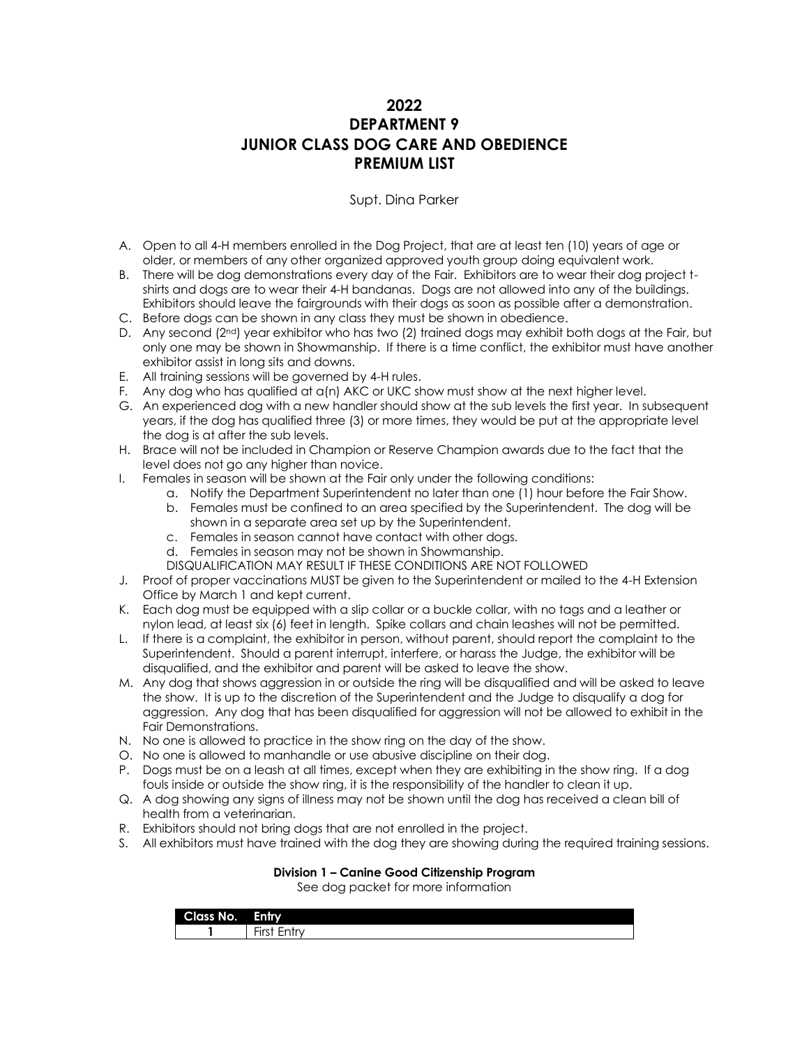# **2022 DEPARTMENT 9 JUNIOR CLASS DOG CARE AND OBEDIENCE PREMIUM LIST**

### Supt. Dina Parker

- A. Open to all 4-H members enrolled in the Dog Project, that are at least ten (10) years of age or older, or members of any other organized approved youth group doing equivalent work.
- B. There will be dog demonstrations every day of the Fair. Exhibitors are to wear their dog project tshirts and dogs are to wear their 4-H bandanas. Dogs are not allowed into any of the buildings. Exhibitors should leave the fairgrounds with their dogs as soon as possible after a demonstration.
- C. Before dogs can be shown in any class they must be shown in obedience.
- D. Any second (2nd) year exhibitor who has two (2) trained dogs may exhibit both dogs at the Fair, but only one may be shown in Showmanship. If there is a time conflict, the exhibitor must have another exhibitor assist in long sits and downs.
- E. All training sessions will be governed by 4-H rules.
- F. Any dog who has qualified at a(n) AKC or UKC show must show at the next higher level.
- G. An experienced dog with a new handler should show at the sub levels the first year. In subsequent years, if the dog has qualified three (3) or more times, they would be put at the appropriate level the dog is at after the sub levels.
- H. Brace will not be included in Champion or Reserve Champion awards due to the fact that the level does not go any higher than novice.
- I. Females in season will be shown at the Fair only under the following conditions:
	- a. Notify the Department Superintendent no later than one (1) hour before the Fair Show.
	- b. Females must be confined to an area specified by the Superintendent. The dog will be shown in a separate area set up by the Superintendent.
	- c. Females in season cannot have contact with other dogs.
	- d. Females in season may not be shown in Showmanship.
	- DISQUALIFICATION MAY RESULT IF THESE CONDITIONS ARE NOT FOLLOWED
- J. Proof of proper vaccinations MUST be given to the Superintendent or mailed to the 4-H Extension Office by March 1 and kept current.
- K. Each dog must be equipped with a slip collar or a buckle collar, with no tags and a leather or nylon lead, at least six (6) feet in length. Spike collars and chain leashes will not be permitted.
- L. If there is a complaint, the exhibitor in person, without parent, should report the complaint to the Superintendent. Should a parent interrupt, interfere, or harass the Judge, the exhibitor will be disqualified, and the exhibitor and parent will be asked to leave the show.
- M. Any dog that shows aggression in or outside the ring will be disqualified and will be asked to leave the show. It is up to the discretion of the Superintendent and the Judge to disqualify a dog for aggression. Any dog that has been disqualified for aggression will not be allowed to exhibit in the Fair Demonstrations.
- N. No one is allowed to practice in the show ring on the day of the show.
- O. No one is allowed to manhandle or use abusive discipline on their dog.
- P. Dogs must be on a leash at all times, except when they are exhibiting in the show ring. If a dog fouls inside or outside the show ring, it is the responsibility of the handler to clean it up.
- Q. A dog showing any signs of illness may not be shown until the dog has received a clean bill of health from a veterinarian.
- R. Exhibitors should not bring dogs that are not enrolled in the project.
- S. All exhibitors must have trained with the dog they are showing during the required training sessions.

### **Division 1 – Canine Good Citizenship Program**

See dog packet for more information

| --<br>-<br>NO. | Entry                                                       |
|----------------|-------------------------------------------------------------|
|                | $- \cdot$<br>-<br>$\overline{\phantom{a}}$<br>.<br>--<br>-- |